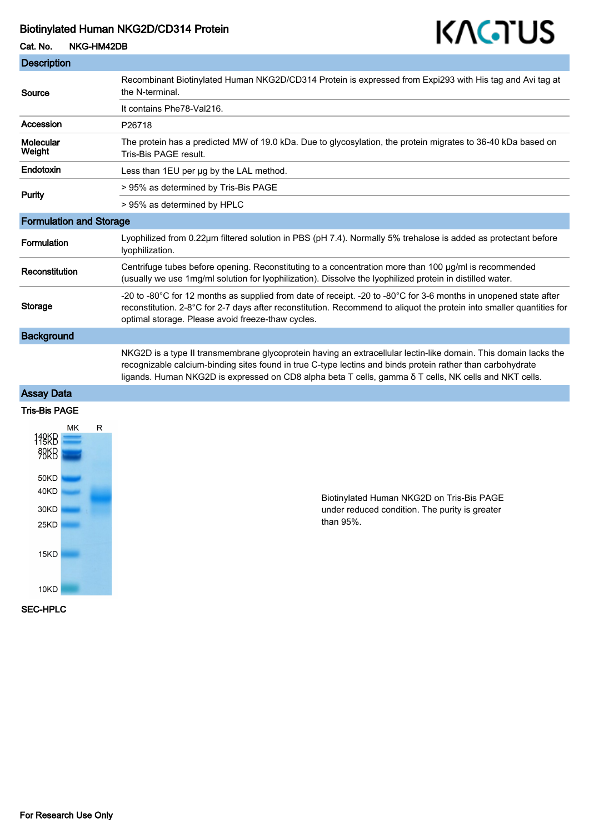# Biotinylated Human NKG2D/CD314 Protein

# KAGTUS

Cat. No. NKG-HM42DB

| <b>Description</b>             |                                                                                                                                                                                                                                                                                                                                        |
|--------------------------------|----------------------------------------------------------------------------------------------------------------------------------------------------------------------------------------------------------------------------------------------------------------------------------------------------------------------------------------|
| Source                         | Recombinant Biotinylated Human NKG2D/CD314 Protein is expressed from Expi293 with His tag and Avi tag at<br>the N-terminal.                                                                                                                                                                                                            |
|                                | It contains Phe78-Val216.                                                                                                                                                                                                                                                                                                              |
| Accession                      | P26718                                                                                                                                                                                                                                                                                                                                 |
| <b>Molecular</b><br>Weight     | The protein has a predicted MW of 19.0 kDa. Due to glycosylation, the protein migrates to 36-40 kDa based on<br>Tris-Bis PAGE result.                                                                                                                                                                                                  |
| Endotoxin                      | Less than 1EU per ug by the LAL method.                                                                                                                                                                                                                                                                                                |
| <b>Purity</b>                  | > 95% as determined by Tris-Bis PAGE                                                                                                                                                                                                                                                                                                   |
|                                | > 95% as determined by HPLC                                                                                                                                                                                                                                                                                                            |
| <b>Formulation and Storage</b> |                                                                                                                                                                                                                                                                                                                                        |
| <b>Formulation</b>             | Lyophilized from 0.22µm filtered solution in PBS (pH 7.4). Normally 5% trehalose is added as protectant before<br>Iyophilization.                                                                                                                                                                                                      |
| Reconstitution                 | Centrifuge tubes before opening. Reconstituting to a concentration more than 100 µg/ml is recommended<br>(usually we use 1 mg/ml solution for lyophilization). Dissolve the lyophilized protein in distilled water.                                                                                                                    |
| <b>Storage</b>                 | -20 to -80°C for 12 months as supplied from date of receipt. -20 to -80°C for 3-6 months in unopened state after<br>reconstitution. 2-8°C for 2-7 days after reconstitution. Recommend to aliquot the protein into smaller quantities for<br>optimal storage. Please avoid freeze-thaw cycles.                                         |
| <b>Background</b>              |                                                                                                                                                                                                                                                                                                                                        |
|                                | NKG2D is a type II transmembrane glycoprotein having an extracellular lectin-like domain. This domain lacks the<br>recognizable calcium-binding sites found in true C-type lectins and binds protein rather than carbohydrate<br>ligands. Human NKG2D is expressed on CD8 alpha beta T cells, gamma δ T cells, NK cells and NKT cells. |

# Assay Data Tris-Bis PAGE

# MK  $\overline{\mathsf{R}}$ **119KB**  $\frac{15}{28}$ 50KD 40KD 30KD 25KD  $15KD$ 10KD SEC-HPLC

Biotinylated Human NKG2D on Tris-Bis PAGE under reduced condition. The purity is greater than 95%.